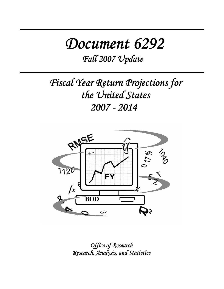# *Document 6292*

*Fall 2007 Update*

*Fiscal Year Return Projections for the United States 2007 - 2014* 



*Office of Research Research, Analysis, and Statistics*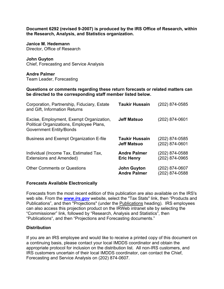**Document 6292 (revised 9-2007) is produced by the IRS Office of Research, within the Research, Analysis, and Statistics organization.** 

**Janice M. Hedemann**  Director, Office of Research

**John Guyton**  Chief, Forecasting and Service Analysis

**Andre Palmer**  Team Leader, Forecasting

**Questions or comments regarding these return forecasts or related matters can be directed to the corresponding staff member listed below.** 

| Corporation, Partnership, Fiduciary, Estate<br>and Gift, Information Returns                                           | <b>Taukir Hussain</b>                       | (202) 874-0585                   |
|------------------------------------------------------------------------------------------------------------------------|---------------------------------------------|----------------------------------|
| Excise, Employment, Exempt Organization,<br>Political Organizations, Employee Plans,<br><b>Government Entity/Bonds</b> | <b>Jeff Matsuo</b>                          | (202) 874-0601                   |
| Business and Exempt Organization E-file                                                                                | <b>Taukir Hussain</b><br><b>Jeff Matsuo</b> | (202) 874-0585<br>(202) 874-0601 |
| Individual (Income Tax, Estimated Tax,<br>Extensions and Amended)                                                      | <b>Andre Palmer</b><br><b>Eric Henry</b>    | (202) 874-0588<br>(202) 874-0965 |
| <b>Other Comments or Questions</b>                                                                                     | <b>John Guyton</b><br><b>Andre Palmer</b>   | (202) 874-0607<br>(202) 874-0588 |

#### **Forecasts Available Electronically**

Forecasts from the most recent edition of this publication are also available on the IRS's web site. From the *www.irs.gov* website, select the "Tax Stats" link, then "Products and Publications", and then "Projections" (under the Publications heading). IRS employees can also access this projection product on the IRWeb intranet site by selecting the "Commissioner" link, followed by "Research, Analysis and Statistics", then "Publications", and then "Projections and Forecasting documents."

#### **Distribution**

If you are an IRS employee and would like to receive a printed copy of this document on a continuing basis, please contact your local IMDDS coordinator and obtain the appropriate protocol for inclusion on the distribution list. All non-IRS customers, and IRS customers uncertain of their local IMDDS coordinator, can contact the Chief, Forecasting and Service Analysis on (202) 874-0607.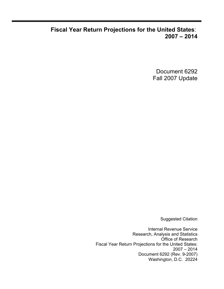## **Fiscal Year Return Projections for the United States**: **2007 – 2014**

Document 6292 Fall 2007 Update

Suggested Citation

Internal Revenue Service Research, Analysis and Statistics Office of Research Fiscal Year Return Projections for the United States: 2007 – 2014 Document 6292 (Rev. 9-2007) Washington, D.C. 20224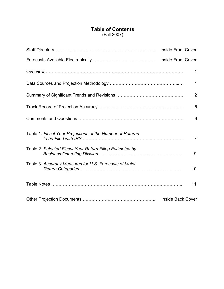### **Table of Contents** (Fall 2007)

|                                                           | <b>Inside Front Cover</b> |
|-----------------------------------------------------------|---------------------------|
|                                                           |                           |
|                                                           | 1                         |
|                                                           | $\mathbf 1$               |
|                                                           | $\overline{2}$            |
|                                                           | 5                         |
|                                                           | 6                         |
| Table 1. Fiscal Year Projections of the Number of Returns | $\overline{7}$            |
| Table 2. Selected Fiscal Year Return Filing Estimates by  | 9                         |
| Table 3. Accuracy Measures for U.S. Forecasts of Major    | 10                        |
|                                                           | 11                        |
|                                                           | <b>Inside Back Cover</b>  |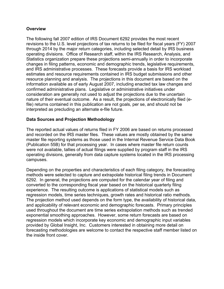#### **Overview**

The following fall 2007 edition of IRS Document 6292 provides the most recent revisions to the U.S. level projections of tax returns to be filed for fiscal years (FY) 2007 through 2014 by the major return categories, including selected detail by IRS business operating divisions. Office of Research staff, within the IRS Research, Analysis, and Statistics organization prepare these projections semi-annually in order to incorporate changes in filing patterns, economic and demographic trends, legislative requirements, and IRS administrative processes. These forecasts provide a basis for IRS workload estimates and resource requirements contained in IRS budget submissions and other resource planning and analysis. The projections in this document are based on the information available as of early August 2007, including enacted tax law changes and confirmed administrative plans. Legislative or administrative initiatives under consideration are generally not used to adjust the projections due to the uncertain nature of their eventual outcome. As a result, the projections of electronically filed (efile) returns contained in this publication are not goals, per se, and should not be interpreted as precluding an alternate e-file future.

#### **Data Sources and Projection Methodology**

The reported actual values of returns filed in FY 2006 are based on returns processed and recorded on the IRS master files. These values are mostly obtained by the same master file reporting systems as those used in the Internal Revenue Service Data Book (Publication 55B) for that processing year. In cases where master file return counts were not available, tallies of actual filings were supplied by program staff in the IRS operating divisions, generally from data capture systems located in the IRS processing campuses.

Depending on the properties and characteristics of each filing category, the forecasting methods were selected to capture and extrapolate historical filing trends in Document 6292. In general, the projections are computed for the calendar year of filing and converted to the corresponding fiscal year based on the historical quarterly filing experience. The resulting outcome is applications of statistical models such as regression models, time series techniques, growth rates and historical ratio methods. The projection method used depends on the form type, the availability of historical data, and applicability of relevant economic and demographic forecasts. Primary principles used throughout the document are time series extrapolation methods such as trended exponential smoothing approaches. However, some return forecasts are based on regression models which incorporate key economic and demographic input variables provided by Global Insight, Inc. Customers interested in obtaining more detail on forecasting methodologies are welcome to contact the respective staff member listed on the inside front cover.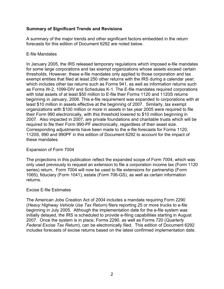#### **Summary of Significant Trends and Revisions**

A summary of the major trends and other significant factors embedded in the return forecasts for this edition of Document 6292 are noted below.

#### E-file Mandates

In January 2005, the IRS released temporary regulations which imposed e-file mandates for some large corporations and tax exempt organizations whose assets exceed certain thresholds. However, these e-file mandates only applied to those corporation and tax exempt entities that filed at least 250 other returns with the IRS during a calendar year; which includes other tax returns such as Forms 941, as well as information returns such as Forms W-2, 1099-DIV and Schedules K-1. The E-file mandates required corporations with total assets of at least \$50 million to E-file their Forms 1120 and 1120S returns beginning in January, 2006. This e-file requirement was expanded to corporations with at least \$10 million in assets effective at the beginning of 2007. Similarly, tax exempt organizations with \$100 million or more in assets in tax year 2005 were required to file their Form 990 electronically, with this threshold lowered to \$10 million beginning in 2007. Also impacted in 2007, are private foundations and charitable trusts which will be required to file their Form 990-PF electronically, regardless of their asset size. Corresponding adjustments have been made to the e-file forecasts for Forms 1120, 1120S, 990 and 990PF in this edition of Document 6292 to account for the impact of these mandates.

#### Expansion of Form 7004

The projections in this publication reflect the expanded scope of Form 7004, which was only used previously to request an extension to file a corporation income tax (Form 1120 series) return. Form 7004 will now be used to file extensions for partnership (Form 1065), fiduciary (Form 1041), estate (Form 706-GS), as well as certain information returns.

#### Excise E-file Estimates

The American Jobs Creation Act of 2004 includes a mandate requiring Form 2290 (*Heavy Highway Vehicle Use Tax Return*) filers reporting 25 or more trucks to e-file beginning in July 2005. Although the implementation date for the e-file system was initially delayed, the IRS is scheduled to provide e-filing capabilities starting in August 2007. Once the system is in place, Forms 2290, as well as Forms 720 (*Quarterly Federal Excise Tax Return*), can be electronically filed. This edition of Document 6292 includes forecasts of excise returns based on the latest confirmed implementation date.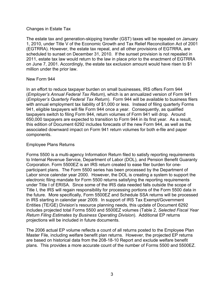#### Changes in Estate Tax

The estate tax and generation-skipping transfer (GST) taxes will be repealed on January 1, 2010, under Title V of the Economic Growth and Tax Relief Reconciliation Act of 2001 (EGTRRA). However, the estate tax repeal, and all other provisions of EGTRRA, are scheduled to sunset on December 31, 2010. If the sunset provision is not repealed in 2011, estate tax law would return to the law in place prior to the enactment of EGTRRA on June 7, 2001. Accordingly, the estate tax exclusion amount would have risen to \$1 million under the prior law.

#### New Form 944

In an effort to reduce taxpayer burden on small businesses, IRS offers Form 944 (*Employer's Annual Federal Tax Return*), which is an annualized version of Form 941 (*Employer's Quarterly Federal Tax Return*). Form 944 will be available to business filers with annual employment tax liability of \$1,000 or less. Instead of filing quarterly Forms 941, eligible taxpayers will file Form 944 once a year. Consequently, as qualified taxpayers switch to filing Form 944, return volumes of Form 941 will drop. Around 650,000 taxpayers are expected to transition to Form 944 in its first year. As a result, this edition of Document 6292 includes forecasts of the new Form 944, as well as the associated downward impact on Form 941 return volumes for both e-file and paper components.

#### Employee Plans Returns

Forms 5500 is a multi-agency Information Return filed to satisfy reporting requirements to Internal Revenue Service, Department of Labor (DOL), and Pension Benefit Guaranty Corporation. Form 5500EZ is an IRS return created to ease filer burden for oneparticipant plans. The Form 5500 series has been processed by the Department of Labor since calendar year 2000. However, the DOL is creating a system to support the electronic filing mandate for Form 5500 returns satisfying the reporting requirements under Title I of ERISA. Since some of the IRS data needed falls outside the scope of Title I, the IRS will regain responsibility for processing portions of the Form 5500 data in the future. More specifically, Form 5500EZ and Schedule SSA returns will be processed in IRS starting in calendar year 2009. In support of IRS Tax Exempt/Government Entities (TE/GE) Division's resource planning needs, this update of Document 6292 includes projected total Forms 5500 and 5500EZ volumes (Table 2, *Selected Fiscal Year Return Filing Estimates by Business Operating Division*). Additional EP returns projections will be included in future documents.

The 2006 actual EP volume reflects a count of all returns posted to the Employee Plan Master File, including welfare benefit plan returns. However, the projected EP returns are based on historical data from the 208-18-10 Report and exclude welfare benefit plans. This provides a more accurate count of the number of Forms 5500 and 5500EZ.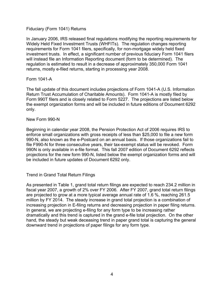#### Fiduciary (Form 1041) Returns

In January 2006, IRS released final regulations modifying the reporting requirements for Widely Held Fixed Investment Trusts (WHFITs). The regulation changes reporting requirements for Form 1041 filers, specifically, for non-mortgage widely held fixed investment trusts. In effect, a significant number of previous fiduciary Form 1041 filers will instead file an Information Reporting document (form to be determined). The regulation is estimated to result in a decrease of approximately 350,000 Form 1041 returns, mostly e-filed returns, starting in processing year 2008.

#### Form 1041-A

The fall update of this document includes projections of Form 1041-A (U.S. Information Return Trust Accumulation of Charitable Amounts). Form 1041-A is mostly filed by Form 990T filers and is closely related to Form 5227. The projections are listed below the exempt organization forms and will be included in future editions of Document 6292 only.

#### New Form 990-N

Beginning in calendar year 2008, the Pension Protection Act of 2006 requires IRS to enforce small organizations with gross receipts of less than \$25,000 to file a new form 990-N, also known as the e-Postcard on an annual basis. If those organizations fail to file F990-N for three consecutive years, their tax-exempt status will be revoked. Form 990N is only available in e-file format. This fall 2007 edition of Document 6292 reflects projections for the new form 990-N, listed below the exempt organization forms and will be included in future updates of Document 6292 only.

#### Trend in Grand Total Return Filings

As presented in Table 1, grand total return filings are expected to reach 234.2 million in fiscal year 2007, a growth of 2% over FY 2006. After FY 2007, grand total return filings are projected to grow at a more typical average annual rate of 1.6 %, reaching 261.5 million by FY 2014. The steady increase in grand total projection is a combination of increasing projection in E-filing returns and decreasing projection in paper filing returns. In general, we are projecting e-filing for any form type to be increasing rather dramatically and this trend is captured in the grand e-file total projection. On the other hand, the steady but weak deceasing trend in paper grand total is capturing the general downward trend in projections of paper filings for any form type.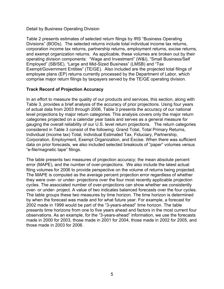#### Detail by Business Operating Division

Table 2 presents estimates of selected return filings by IRS "Business Operating Divisions" (BODs). The selected returns include total individual income tax returns, corporation income tax returns, partnership returns, employment returns, excise returns, and exempt organization returns. As applicable, these volumes are broken out by their operating division components: "Wage and Investment" (W&I), "Small Business/Self Employed" (SB/SE), "Large and Mid-Sized Business" (LMSB) and "Tax Exempt/Government Entities" (TE/GE). Also included are the projected total filings of employee plans (EP) returns currently processed by the Department of Labor, which comprise major return filings by taxpayers served by the TE/GE operating division.

#### **Track Record of Projection Accuracy**

In an effort to measure the quality of our products and services, this section, along with Table 3, provides a brief analysis of the accuracy of prior projections. Using four years of actual data from 2003 through 2006, Table 3 presents the accuracy of our national level projections by major return categories. This analysis covers only the major return categories projected on a calendar year basis and serves as a general measure for gauging the overall reliability of our U.S. level return projections. The return categories considered in Table 3 consist of the following: Grand Total, Total Primary Returns, Individual (income tax) Total, Individual Estimated Tax, Fiduciary, Partnership, Corporation, Employment, Exempt Organization, and Excise. When there was sufficient data on prior forecasts, we also included selected breakouts of "paper" volumes versus "e-file/magnetic tape" filings.

The table presents two measures of projection accuracy; the mean absolute percent error (MAPE), and the number of over-projections. We also include the latest actual filing volumes for 2006 to provide perspective on the volume of returns being projected. The MAPE is computed as the average percent projection error regardless of whether they were over- or under- projections over the four most recently applicable projection cycles. The associated number of over-projections can show whether we consistently over- or under- project. A value of two indicates balanced forecasts over the four cycles. The table groups these two measures by time horizon. The time horizon is determined by when the forecast was made and for what future year. For example, a forecast for 2002 made in 1999 would be part of the "3-years-ahead" time horizon. The table presents time horizons from one to five years ahead and factors in the most current four observations. As an example, for the "3-years-ahead" information, we use the forecasts made in 2000 for 2003, those made in 2001 for 2004, those made in 2002 for 2005, and those made in 2003 for 2006.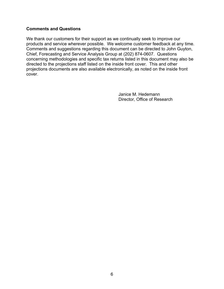#### **Comments and Questions**

We thank our customers for their support as we continually seek to improve our products and service wherever possible. We welcome customer feedback at any time. Comments and suggestions regarding this document can be directed to John Guyton, Chief, Forecasting and Service Analysis Group at (202) 874-0607. Questions concerning methodologies and specific tax returns listed in this document may also be directed to the projections staff listed on the inside front cover. This and other projections documents are also available electronically, as noted on the inside front cover.

> Janice M. Hedemann Director, Office of Research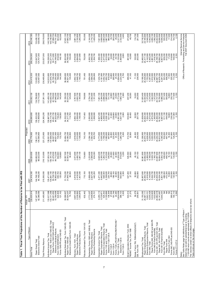| Table 1. Fiscal Year Projections of the Number of Rett                                                                                                                                                                                                                                                                                                                                                                                                                                         |                                                                                                                                                                                                                  | urns to be Filed with IRS                                                                                                                                                            |                                                                                                                                                                                                                     |                                                                                                                                                                                      |                                                                                                                                                                                      |                                                                                                                                                                                      |                                                                                                                                                                                               |                                                                                                                                                                                                                                                                           |                                                                                                                                                                                                                                                                                                                                |
|------------------------------------------------------------------------------------------------------------------------------------------------------------------------------------------------------------------------------------------------------------------------------------------------------------------------------------------------------------------------------------------------------------------------------------------------------------------------------------------------|------------------------------------------------------------------------------------------------------------------------------------------------------------------------------------------------------------------|--------------------------------------------------------------------------------------------------------------------------------------------------------------------------------------|---------------------------------------------------------------------------------------------------------------------------------------------------------------------------------------------------------------------|--------------------------------------------------------------------------------------------------------------------------------------------------------------------------------------|--------------------------------------------------------------------------------------------------------------------------------------------------------------------------------------|--------------------------------------------------------------------------------------------------------------------------------------------------------------------------------------|-----------------------------------------------------------------------------------------------------------------------------------------------------------------------------------------------|---------------------------------------------------------------------------------------------------------------------------------------------------------------------------------------------------------------------------------------------------------------------------|--------------------------------------------------------------------------------------------------------------------------------------------------------------------------------------------------------------------------------------------------------------------------------------------------------------------------------|
| Type of Return                                                                                                                                                                                                                                                                                                                                                                                                                                                                                 | 2006<br>Actual -                                                                                                                                                                                                 | 2007                                                                                                                                                                                 | 2008                                                                                                                                                                                                                | Projectec<br>2009                                                                                                                                                                    | 2010                                                                                                                                                                                 | 2011                                                                                                                                                                                 | 2012                                                                                                                                                                                          | 2013                                                                                                                                                                                                                                                                      | 2014                                                                                                                                                                                                                                                                                                                           |
| Grand Tota                                                                                                                                                                                                                                                                                                                                                                                                                                                                                     | 335,914<br>229,6                                                                                                                                                                                                 | 234,916,300                                                                                                                                                                          | 238,824,600                                                                                                                                                                                                         | 242,776,900                                                                                                                                                                          | 246,690,800                                                                                                                                                                          | 250,502,100                                                                                                                                                                          | 254,410,300                                                                                                                                                                                   | 258,254,900                                                                                                                                                                                                                                                               | 262,040,300                                                                                                                                                                                                                                                                                                                    |
| Electronic Grand Total<br>Paper Grand Total                                                                                                                                                                                                                                                                                                                                                                                                                                                    | 147,247,324<br>82,388,590                                                                                                                                                                                        | 144,748,100<br>90,168,200                                                                                                                                                            | 140,802,500<br>98,022,000                                                                                                                                                                                           | 138,211,100<br>104,565,800                                                                                                                                                           | 136,222,200<br>110,468,600                                                                                                                                                           | 134,786,800<br>115,715,300                                                                                                                                                           | 133,953,300<br>120,457,000                                                                                                                                                                    | 133,547,600<br>124,707,300                                                                                                                                                                                                                                                | 133,490,100<br>128,550,100                                                                                                                                                                                                                                                                                                     |
| <b>Total Primary Retums</b>                                                                                                                                                                                                                                                                                                                                                                                                                                                                    | 211,455,98                                                                                                                                                                                                       | 215,050,500                                                                                                                                                                          | 218,123,900                                                                                                                                                                                                         | 221,272,800                                                                                                                                                                          | 224,383,200                                                                                                                                                                          | 227,391,100                                                                                                                                                                          | 230,495,800                                                                                                                                                                                   | 233,537,000                                                                                                                                                                                                                                                               | 236,519,000                                                                                                                                                                                                                                                                                                                    |
| Forms 1040, 1040-A and 1040-EZ, Total<br>Paper Forms 1040/1040-A/1040-EZ<br>Electronic Individual Returns<br>Forms 1040-PR and 1040-SS<br>Individual Income Tax, Total<br>Form 1040-NR/NR-EZ/C                                                                                                                                                                                                                                                                                                 | 133,917,068<br>133,171,358<br>60,401,852<br>769,506<br>324,608<br>121,102<br>72,7                                                                                                                                | 135,471,800<br>134,691,100<br>55,738,700<br>78,952,400<br>655,700<br>125,000                                                                                                         | 84,712,200<br>136, 191, 700<br>51, 479, 500<br>682,600<br>128,800<br>137,003,100                                                                                                                                    | 137,659,400<br>48,027,500<br>89,631,900<br>138,501,500<br>709,400<br>132,700                                                                                                         | 139,114,700<br>139,987,500<br>45,091,700<br>94,023,000<br>736,200<br>136,500                                                                                                         | 42,709,500<br>141,459,100<br>140,555,700<br>97,846,200<br>763,000<br>140,400                                                                                                         | 142,910,800<br>141,976,700<br>40,726,300<br>01,250,400<br>789,800<br>144,300                                                                                                                  | 144,336,000<br>143,371,300<br>39,171,800<br>104,199,500<br>816,600<br>148,100                                                                                                                                                                                             | 145,745,300<br>144,749,900<br>37,998,700<br>106,751,200<br>843,500<br>152,000                                                                                                                                                                                                                                                  |
| Individual Estimated Tax, Form 1040-ES, Total<br>Paper Form 1040-ES<br>Electronic (Credit Card) Form 1040-ES                                                                                                                                                                                                                                                                                                                                                                                   | 30,098,907<br>30,024,207<br>024,207<br>74,700                                                                                                                                                                    | 31,730,200<br>31,645,700<br>84,500                                                                                                                                                   | 32,597,500<br>32,503,100<br>94,400                                                                                                                                                                                  | 33,464,700<br>33,360,200<br>104,500                                                                                                                                                  | 34,332,000<br>34,217,300<br>114,700                                                                                                                                                  | 35,199,300<br>35,074,300<br>125,000                                                                                                                                                  | 36,066,600<br>35,931,200<br>135,400                                                                                                                                                           | 36,933,800<br>36,798,400<br>135,400                                                                                                                                                                                                                                       | 37,801,100<br>37,665,700<br>135,400                                                                                                                                                                                                                                                                                            |
| Electronic Fiduciary Returns<br>iduciary, Form 1041, Total<br>Paper Fiduciary Returns                                                                                                                                                                                                                                                                                                                                                                                                          | 3,697,436<br>2,336,560<br>1,360,876                                                                                                                                                                              | ,819,500<br>,418,500<br>1,401,000<br>ຕ໌ လျ                                                                                                                                           | 3,573,900<br>2,492,700<br>1,081,100                                                                                                                                                                                 | ,618,600<br>,510,600<br>1,108,000<br>ຕ໌ လျ                                                                                                                                           | 3,693,100<br>2,556,600<br>1,136,400                                                                                                                                                  | 3,767,600<br>2,602,700<br>1,164,900                                                                                                                                                  | 3,842,100<br>2,648,700<br>1,193,400                                                                                                                                                           | 3,916,600<br>2,694,800<br>1,221,800                                                                                                                                                                                                                                       | 3,991,100<br>2,740,800<br>1,250,300                                                                                                                                                                                                                                                                                            |
| Fiduciary Estimated Tax, Form 1041-ES                                                                                                                                                                                                                                                                                                                                                                                                                                                          | 632,442                                                                                                                                                                                                          | 715,100                                                                                                                                                                              | 734,800                                                                                                                                                                                                             | 743,100                                                                                                                                                                              | 747,400                                                                                                                                                                              | 749,900                                                                                                                                                                              | 751,400                                                                                                                                                                                       | 752,600                                                                                                                                                                                                                                                                   | 753,500                                                                                                                                                                                                                                                                                                                        |
| Partnership, Forms 1065 and 1065-B, Total<br>Electronic Partnership Returns<br>Paper Partnership Returns                                                                                                                                                                                                                                                                                                                                                                                       | 2,773,327<br>2,498,606<br>274,721                                                                                                                                                                                | ,069,400<br>627,200<br>442,200                                                                                                                                                       | 3,233,600<br>599,400<br>634,300                                                                                                                                                                                     | 394,100<br>563,400<br>830,700<br>ω.<br>$\mathbf{a}$                                                                                                                                  | 3,550,800<br>2,543,900<br>1,006,900                                                                                                                                                  | 552,900<br>3,704,100<br>1,151,200<br>$\sim$                                                                                                                                          | 3,854,000<br>2,589,200<br>1,264,800                                                                                                                                                           | 4,000,700<br>2,646,000<br>,354,700                                                                                                                                                                                                                                        | 4,144,200<br>2,716,100<br>1,428,200                                                                                                                                                                                                                                                                                            |
| Forms 1120-L/PC/SF/FSC/REIT/RIC/ND *<br>Paper Corporation Retums, Total<br>Electronic Corporation Returns, Total<br>Forms 1120 and 1120-A, Tota<br>Corporation Income Tax, Total<br>Electronic 1120/1120-A<br>Electronic 1120-S<br>Form 1120-S, Total<br>Form 1120-H<br>Form 1120-C<br>Form 1120-F                                                                                                                                                                                             | ,255,113<br>525,442<br>136,309<br>27,008<br>181,746<br>22,280<br>3,824,658<br>389,133<br>195,896<br>3,525<br>6,255,113<br>5,729,671<br>$\sim$                                                                    | 049,600<br>471,300<br>,642,800<br>828,500<br>2,168,600<br>224,700<br>28,800<br>198,100<br>22,900<br>603,800<br>3,300<br>(ລັທ)                                                        | 346,500<br>29,900<br>211,600<br>22,900<br>4,229,300<br>918,200<br>620,400<br>5,355,700<br>1,264,700<br>2,123,500<br>3,200                                                                                           | 410,600<br>773,800<br>,005,500<br>1,768,200<br>2,080,800<br>30,800<br>23,300<br>,280,700<br>487,600<br>225,200<br>3,000<br>ဖ<br>ທົ                                                   | 4,591,900<br>6,927,400<br>4,669,000<br>2,258,500<br>2,038,100<br>621,400<br>31,800<br>238,800<br>23,900<br>1,637,100<br>2,900                                                        | 24,500<br>4,773,300<br>7,081,100<br>4,394,200<br>2,686,900<br>$,995,400$<br>731,700<br>32,800<br>252,300<br>955,100<br>2,800                                                         | 4,181,900<br>3,052,700<br>1,952,700<br>819,500<br>33,800<br>265,900<br>4,954,600<br>2,233,300<br>7,234,700<br>25,100<br>2,700                                                                 | 7,388,300<br>4,010,400<br>3,377,900<br>1,910,000<br>893,100<br>34,800<br>279,500<br>25,700<br>5,135,900<br>,484,800<br>2,600                                                                                                                                              | $\begin{array}{l} \tau, 541, 900 \\ \tau, 868, 500 \\ \tau, 867, 300 \\ \tau, 867, 300 \\ \tau, 867, 300 \\ \tau, 867, 300 \\ \tau, 867, 300 \\ \tau, 867, 300 \\ \tau, 877, 200 \\ \tau, 317, 22, 900 \\ \tau, 7722, 900 \\ \tau, 7722, 900 \\ \tau, 7722, 900 \\ \tau, 772, 900 \\ \tau, 772, 900 \\ \tau, 772, 90$<br>2,400 |
| Small Corporation Election, Form 2553<br>"REMIC" Income Tax, Form 1066                                                                                                                                                                                                                                                                                                                                                                                                                         | 543,014<br>21,275                                                                                                                                                                                                | 527,400<br>27,100                                                                                                                                                                    | 520,500<br>29,800                                                                                                                                                                                                   | 512,700<br>32,600                                                                                                                                                                    | 504,900<br>35,400                                                                                                                                                                    | 497,200<br>38,300                                                                                                                                                                    | 489,400<br>41,100                                                                                                                                                                             | 481,600<br>43,900                                                                                                                                                                                                                                                         | 473,800<br>46,700                                                                                                                                                                                                                                                                                                              |
| Estate, Forms 706, 706NA/GS(D)/GS(T)<br>Gift, Form 709                                                                                                                                                                                                                                                                                                                                                                                                                                         | 58,279<br>255,651<br>W                                                                                                                                                                                           | 50,800<br>262,900                                                                                                                                                                    | 45,100<br>261,100                                                                                                                                                                                                   | 44,200<br>259,400                                                                                                                                                                    | 30,500<br>257,700                                                                                                                                                                    | 16,200<br>200,900                                                                                                                                                                    | 71,100<br>236,500                                                                                                                                                                             | 105,900<br>253,000                                                                                                                                                                                                                                                        | 116,700<br>251,500                                                                                                                                                                                                                                                                                                             |
| See Table Notes page for definitions of "Type of Return."<br>Paper Forms 940, 940-EZ and 940-PR<br>Forms 941, 941-PR and 941-SS, Total<br>Electronic Employment Retums, Total<br>Form 940, Total<br>Paper Employment Returns, Total<br>Forms 943, 943-PR and 943-SS<br>Form 940 E-File/On-line/XML<br>Paper 941, 941-PR/SS, Total<br>Form 941 E-File/On-line/XML<br>Electronic Form 944<br>Employment Tax, Total<br>Paper Form 944<br>Forms CT-1/CT-2<br>Form 944, Total<br>Form 945<br>Notes: | 24,682,018<br>20,141,667<br>4,540,351<br>MA<br>260,613<br>150,110<br>2,092<br>$\begin{array}{l} 31,150,262 \\ 25,587,111 \\ 5,563,151 \\ 6,055,429 \\ 6,032,629 \\ 5,032,629 \\ 1,022,800 \end{array}$<br>₹<br>≨ | 5,916,900<br>6,144,600<br>5,044,700<br>1,100,000<br>23,835,400<br>4,801,100<br>488,000<br>472,200<br>15,800<br>252,500<br>30,857,600<br>24,940,700<br>19,034,300<br>134,900<br>2,100 | 30,961,800<br>24,692,500<br>6,269,300<br>6,188,200<br>5,028,100<br>1,160,100<br>23,897,800<br>5,093,100<br>496,200<br>480,100<br>$\begin{array}{c} 16,100 \\ 247,100 \\ 130,500 \end{array}$<br>18,804,700<br>2,100 | 31,306,900<br>6,230,600<br>5,000,500<br>24,670,100<br>6,636,800<br>1,230,000<br>24,202,400<br>18,812,000<br>5,390,400<br>16,300<br>504,000<br>487,700<br>241,600<br>126,200<br>2,100 | 31,628,600<br>24,624,300<br>7,004,400<br>6,273,000<br>4,972,200<br>1,300,800<br>24,484,400<br>18,797,500<br>5,687,000<br>511,100<br>494,500<br>16,600<br>236,200<br>121,900<br>2,100 | 31,920,400<br>24,544,900<br>7,375,600<br>6,315,400<br>4,942,900<br>1,372,500<br>24,737,300<br>18,750,900<br>5,986,300<br>517,400<br>500,600<br>16,800<br>230,700<br>117,600<br>2,100 | 32,189,300<br>24,435,800<br>7,753,500<br>6,357,800<br>6,367,700<br>4,445,000<br>7,100<br>24,967,700<br>18,676,200<br>6,291,500<br>523,200<br>506,200<br>17,000<br>225,300<br>113,300<br>2,100 | Office of Research, Forecasting and Service Analysis<br>Fall 2007 Document 6292<br>32,460,000<br>8,142,900<br>6,400,200<br>4,881,900<br>1,518,300<br>25, 199, 700<br>18,592,300<br>6,607,500<br>529,200<br>512,000<br>17,200<br>219,800<br>109,000<br>2,100<br>24,317,100 | 32,742,200<br>Internal Revenue Service<br>518,200<br>$7,400$ $7,400$ $7,400$ $7,400$ $7,400$ $7,400$ $2,100$<br>24,195,900                                                                                                                                                                                                     |
| Detail may not add to subtotal/total due to rounding.<br>* 1120-ND return counts were estimated for FY2006.<br>The vountnes contain no direct effects of felephone excise tax refund.<br>The vountnes contain no direct effects of fele                                                                                                                                                                                                                                                        |                                                                                                                                                                                                                  |                                                                                                                                                                                      |                                                                                                                                                                                                                     |                                                                                                                                                                                      |                                                                                                                                                                                      |                                                                                                                                                                                      |                                                                                                                                                                                               |                                                                                                                                                                                                                                                                           |                                                                                                                                                                                                                                                                                                                                |

7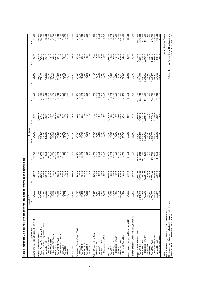| Table 1 (continued). Fiscal Year Projections of the Nur                                                                       | ≿                                                                                                  | mber of Returns to be Filed with IRS   |                                            |                                         |                          |                                                                                                    |                                        |                                                      |                                                                                                                                                                                                                                                                                               |
|-------------------------------------------------------------------------------------------------------------------------------|----------------------------------------------------------------------------------------------------|----------------------------------------|--------------------------------------------|-----------------------------------------|--------------------------|----------------------------------------------------------------------------------------------------|----------------------------------------|------------------------------------------------------|-----------------------------------------------------------------------------------------------------------------------------------------------------------------------------------------------------------------------------------------------------------------------------------------------|
| Type of Return                                                                                                                | Actual - F<br>2006                                                                                 | 2007                                   | 2008                                       | Projected<br>2009                       | 2010                     | 2011                                                                                               | 2012                                   | 2013                                                 | 2014                                                                                                                                                                                                                                                                                          |
| Withholding on Foreign Persons, Form 1042                                                                                     | 31,995                                                                                             | 32,800                                 | 33,400                                     | 34,000                                  | 34,600                   | 35,200                                                                                             | 35,800                                 | 36,400                                               | 37,000                                                                                                                                                                                                                                                                                        |
| Exempt Organization, Total*                                                                                                   |                                                                                                    |                                        | ,321,000                                   | 370,000                                 | 1,405,900                | ,444,800                                                                                           | ,465,400                               | 1,490,500                                            |                                                                                                                                                                                                                                                                                               |
| Paper Exempt Organization, Total                                                                                              | 829,174<br>818,059                                                                                 | 854,300<br>819,700                     | 813,900                                    | 815,400                                 | 810,100                  | 810,100                                                                                            | 802,100                                | 796,300                                              | 1,505,600<br>783,500                                                                                                                                                                                                                                                                          |
| Electronic Exempt Organization, Total                                                                                         |                                                                                                    |                                        | 507,100<br>413,700                         |                                         | 595,800                  | 634,700                                                                                            | 663,400                                | 694,200                                              |                                                                                                                                                                                                                                                                                               |
| Form 990, Electronic<br>Form 990, Total                                                                                       | $\begin{array}{c} 11,115 \\ 393,396 \\ 7,562 \\ 149,168 \\ 2,591 \end{array}$                      | 34,600<br>409,700<br>27,500<br>146,900 |                                            | 554,600<br>430,000<br>55,700<br>151,400 | 436,800                  | $\begin{array}{l} 453,000 \\ 83,300 \\ 85,300 \\ 7,400 \\ 7,700 \\ 5,700 \\ 10,900 \\ \end{array}$ | 459,800<br>98,100<br>158,700<br>26,300 | 476,100<br>118,700                                   | $\begin{array}{r} 722,100 \\ 482,800 \\ 1482,500 \\ 163,500 \\ 173,700 \\ 500 \\ 500 \\ 600 \\ 74,500 \\ 81,700 \\ 91,900 \\ 91,900 \\ 91,900 \\ 91,900 \\ 91,900 \\ 91,900 \\ 91,900 \\ 91,900 \\ 91,900 \\ 91,900 \\ 91,900 \\ 91,900 \\ 91,900 \\ 92,900 \\ 93,900 \\ 94,900 \\ 95,900 \\$ |
| Form990-EZ, Total                                                                                                             |                                                                                                    |                                        | $40,500$<br>$49,000$<br>$6,300$<br>$8,300$ |                                         | 67,700<br>153,800        |                                                                                                    |                                        | 161,100                                              |                                                                                                                                                                                                                                                                                               |
| Form 990-EZ, Electronic                                                                                                       |                                                                                                    | 4,500                                  |                                            |                                         |                          |                                                                                                    |                                        | 31,600                                               |                                                                                                                                                                                                                                                                                               |
| Form 990-N                                                                                                                    |                                                                                                    | ≨                                      |                                            |                                         |                          |                                                                                                    | 522,100                                | 523,400                                              |                                                                                                                                                                                                                                                                                               |
| Form 990-PF, Total                                                                                                            | <b>MA</b><br>88,599<br>88,5928<br>72,284<br>72,284<br>72,429                                       | 90,900                                 | 453,900<br>93,600                          | $\frac{12,800}{479,100}$                | $\frac{17,000}{500,600}$ |                                                                                                    | 104,600                                | 107,400                                              |                                                                                                                                                                                                                                                                                               |
| Form 990-PF, Electronic                                                                                                       |                                                                                                    | 2,600                                  | 4,300                                      | 7,000                                   | 10,400                   | 13,700                                                                                             | 16,900                                 |                                                      |                                                                                                                                                                                                                                                                                               |
| Form 990-T                                                                                                                    |                                                                                                    | 77,900<br>2,400<br>126,600             | 81,000                                     | 82,700                                  | 84,400                   | 86,000                                                                                             | 87,700                                 | 20,500<br>89,300                                     |                                                                                                                                                                                                                                                                                               |
| Form 4720                                                                                                                     |                                                                                                    |                                        | 2,500                                      | 2,600                                   | 2.700                    | 2,800                                                                                              | 2,900                                  | 3,000                                                | 3,100                                                                                                                                                                                                                                                                                         |
| Form 5227                                                                                                                     |                                                                                                    |                                        | 127,200                                    | 127,900                                 | 128,500                  | 129,100                                                                                            | 129,700                                | 130,200                                              | 130,700                                                                                                                                                                                                                                                                                       |
| om 1041-A                                                                                                                     | 119,936                                                                                            | 120,600                                | 121,300                                    | 122,000                                 | 122,700                  | 123,300                                                                                            | 124,000                                | 124,600                                              | 125,300                                                                                                                                                                                                                                                                                       |
|                                                                                                                               |                                                                                                    |                                        |                                            |                                         |                          |                                                                                                    |                                        |                                                      |                                                                                                                                                                                                                                                                                               |
| Government Entities/Bonds, Total                                                                                              |                                                                                                    | 48,500<br>5,600                        | 48,700<br>5,600                            | 48,900<br>5,700                         | 49,000<br>5,700          | 49,200<br>5,700                                                                                    | 49,400<br>5,700                        | 49,500<br>5,700                                      | 49,700<br>5,800                                                                                                                                                                                                                                                                               |
| Form 8038-G<br>Form 8038                                                                                                      | 51,817<br>7,648<br>29,491                                                                          | 29,100                                 | 29,400                                     | 29,700                                  | 30,000                   | 30,200                                                                                             | 30,500                                 | 30,800                                               | 31,100                                                                                                                                                                                                                                                                                        |
| Form 8038-GC                                                                                                                  |                                                                                                    |                                        | 12,200                                     | 12,000                                  | 11,900                   | 11,700                                                                                             | 11,600                                 | 11,500                                               | 11,300                                                                                                                                                                                                                                                                                        |
| Form 8038-T                                                                                                                   |                                                                                                    |                                        |                                            |                                         |                          |                                                                                                    |                                        |                                                      |                                                                                                                                                                                                                                                                                               |
| Form 8328                                                                                                                     | $\frac{13,054}{1,393}$                                                                             | $1,300$<br>$1,300$<br>$200$            | 1,300<br>200                               | 1,200<br>300                            | $1,200$<br>300           | $7,200$<br>300                                                                                     | 1,200<br>300                           | 1,200<br>300                                         | 1,200<br>300                                                                                                                                                                                                                                                                                  |
|                                                                                                                               |                                                                                                    |                                        |                                            |                                         |                          |                                                                                                    |                                        |                                                      |                                                                                                                                                                                                                                                                                               |
| Political Organizations, Total                                                                                                | 10,112                                                                                             | 10,700                                 | 10,900                                     | 10,800                                  | 11,000                   | 10,800                                                                                             | 11,100                                 | 10,900                                               | 11,200                                                                                                                                                                                                                                                                                        |
| Form 1120-POL                                                                                                                 | 5,679<br>2,158                                                                                     |                                        | 5,700                                      | 5,700                                   | 5,700<br>2,400           | 5,700<br>2,500                                                                                     | 5,700                                  | 5,700<br>2,600                                       | 5,700<br>2,600                                                                                                                                                                                                                                                                                |
| Form 8872, Total<br>Form 8871                                                                                                 |                                                                                                    | ) 8 8 8 8<br>เกิด 3 8 8<br>เกิด ฉี     | 2,300<br>2,300<br>2,300                    | 2,400<br>2,700<br>2,200                 |                          |                                                                                                    | 2,500<br>2,900<br>2,400                |                                                      |                                                                                                                                                                                                                                                                                               |
| Electronic Form 8872                                                                                                          | 2,275<br>1,671                                                                                     |                                        |                                            |                                         | 2,900<br>2,300           | 2,700<br>2,200                                                                                     |                                        | 2,700                                                | 2,900<br>2,400                                                                                                                                                                                                                                                                                |
|                                                                                                                               |                                                                                                    |                                        |                                            |                                         |                          |                                                                                                    |                                        |                                                      |                                                                                                                                                                                                                                                                                               |
| Excise, Total                                                                                                                 | 942,145<br>9,705<br>105,493                                                                        | 913,900<br>9,800                       | 942,100<br>9,800                           | 972,200<br>9,800                        | ,002,600                 | ,033,200                                                                                           | ,063,900                               | ,094,700                                             | 1,125,600                                                                                                                                                                                                                                                                                     |
| Form 720, Total<br>Form 11-C                                                                                                  |                                                                                                    | 103,500                                | 102,200                                    | 101,400                                 | 9,800<br>100,800         | 9,800<br>100,400                                                                                   | 9,800<br>100,100                       | 9,800<br>99,900                                      |                                                                                                                                                                                                                                                                                               |
| Electronic Form 720                                                                                                           |                                                                                                    | 300                                    | 1,000                                      | 1,800                                   | 3,300                    | 5,900                                                                                              | 9,200                                  | 13,700                                               |                                                                                                                                                                                                                                                                                               |
| Form 730                                                                                                                      |                                                                                                    |                                        | 42,500                                     |                                         | 40,400                   |                                                                                                    | 38,200                                 |                                                      |                                                                                                                                                                                                                                                                                               |
| Form 2290, Total                                                                                                              | NA<br>43,064<br>783,883<br>NA                                                                      | 43,600<br>757,000<br>9,000             | 787,600                                    | 41,400<br>819,600<br>23,700             | 851,700                  | 39,300<br>883,800<br>63,700                                                                        | 915,800                                | 37,200<br>947,900<br>144,600                         | 880<br>08.800<br>08.800<br>08.800<br>08.800                                                                                                                                                                                                                                                   |
| Electronic Form 2290                                                                                                          |                                                                                                    |                                        | 15,800                                     |                                         | 38,200                   |                                                                                                    | 96,600                                 |                                                      |                                                                                                                                                                                                                                                                                               |
| Excise Taxes re Employee Plans, Form 5330                                                                                     | 24,825                                                                                             | 24,600                                 | 24,200                                     | 23,900                                  | 23,600                   | 23,200                                                                                             | 22,900                                 | 22,600                                               | 22,300                                                                                                                                                                                                                                                                                        |
|                                                                                                                               |                                                                                                    |                                        |                                            |                                         |                          |                                                                                                    |                                        |                                                      |                                                                                                                                                                                                                                                                                               |
| Payment or Refund under Sec. 7519, Form 8752                                                                                  | 39,492                                                                                             | 38,400                                 | 37,300                                     | 36,300                                  | 35,300                   | 34,400                                                                                             | 33,500                                 | 32,700                                               | 31,800                                                                                                                                                                                                                                                                                        |
| Supplemental Documents, Total                                                                                                 |                                                                                                    | 19,865,800                             | 20,700,700                                 | 21,504,100                              | 22,307,600               | 23,111,000                                                                                         | 23,914,400                             | 24,717,900                                           | 25,521,300                                                                                                                                                                                                                                                                                    |
| Form 1040-X<br>Form 4868, Total                                                                                               |                                                                                                    | 3,572,900                              | 3,645,100                                  | 3,717,400<br>10,620,300                 | 3,789,700                | 3,861,900                                                                                          | 3,934,200                              | 4,006,400                                            | 4,078,700                                                                                                                                                                                                                                                                                     |
|                                                                                                                               | $\begin{array}{l} 18,179,933\\ 3,500,649\\ 9,723,852\\ 9,723,852\\ 1,407,218\\ 11,770 \end{array}$ | 10,022,700                             | 10,321,500                                 |                                         | 10,919,100               | 11,217,900                                                                                         | 11,516,700<br>2,518,300                | 11,815,500                                           | 12, 114, 300                                                                                                                                                                                                                                                                                  |
| Electronic Form 4868                                                                                                          |                                                                                                    | 1,634,400                              | 1,872,600                                  | 2,025,700                               | 2,184,300                | 2,348,500                                                                                          |                                        | 2,693,600                                            | 2,874,500                                                                                                                                                                                                                                                                                     |
| Form 1120-X<br>Form 5558                                                                                                      |                                                                                                    | 11,600<br>384,800                      | 11,400<br>384,800                          | 384,800<br>10,700                       | 384,800<br>10,100        | 384,800<br>9,500                                                                                   | 8,900<br>384,800                       | 8,300<br>384,800                                     | 384,800<br>7,700                                                                                                                                                                                                                                                                              |
| Form 7004, Total                                                                                                              | 383,520<br>4,054,965<br>388,358                                                                    |                                        | 5,797,600<br>1,526,300                     |                                         |                          |                                                                                                    |                                        |                                                      |                                                                                                                                                                                                                                                                                               |
| Electronic Form 7004                                                                                                          |                                                                                                    |                                        |                                            | 6,210,300<br>1,820,800                  | 6,623,000<br>2,023,000   | 7,035,800<br>2,211,400                                                                             | 7,448,500<br>2,398,000                 | 7,861,200<br>2,584,400                               |                                                                                                                                                                                                                                                                                               |
| Form 8868, Total                                                                                                              | 505,177                                                                                            | 5,353,900<br>834,000<br>520,000        | 540,300                                    | 560,600                                 | 580,900                  | 601,100                                                                                            | 621,400                                | 641,700                                              | 8,273,900<br>2,770,800<br>662,000<br>163,800                                                                                                                                                                                                                                                  |
| Electronic Form 8868                                                                                                          | 9,674                                                                                              | 26,000                                 | 800<br>38,                                 | 54,600                                  | 75,300                   | 96,600                                                                                             | 500<br>116,                            | 139,800                                              |                                                                                                                                                                                                                                                                                               |
| Notes:                                                                                                                        |                                                                                                    |                                        |                                            |                                         |                          |                                                                                                    |                                        |                                                      | Internal Revenue Service                                                                                                                                                                                                                                                                      |
| See Table Notes page for definitions of "Type of Return."                                                                     |                                                                                                    |                                        |                                            |                                         |                          |                                                                                                    |                                        |                                                      |                                                                                                                                                                                                                                                                                               |
| The volumes contain no direct effects of telephone excise tax refund.<br>Detail may not add to subtotal/total due to rounding |                                                                                                    |                                        |                                            |                                         |                          |                                                                                                    |                                        | Office of Research, Forecasting and Service Analysis | Fall 2007 Document 6292                                                                                                                                                                                                                                                                       |

8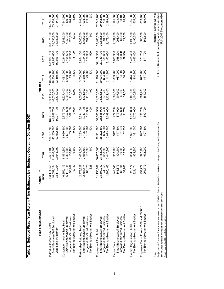| Table 2. Selected Fiscal Year Return Filing Estimates                                                                                                                                                                                                                           |                                                          | by Business Operating Division (BOD)             |                                                  |                                                  |                                                  |                                                  |                                                  |                                                      |                                                     |
|---------------------------------------------------------------------------------------------------------------------------------------------------------------------------------------------------------------------------------------------------------------------------------|----------------------------------------------------------|--------------------------------------------------|--------------------------------------------------|--------------------------------------------------|--------------------------------------------------|--------------------------------------------------|--------------------------------------------------|------------------------------------------------------|-----------------------------------------------------|
| Type of Return/BOD                                                                                                                                                                                                                                                              | ≿<br>Actual-<br>2006                                     | 2007                                             | 2008                                             | 2009                                             | Projected<br>2010                                | 2011                                             | 2012                                             | 2013                                                 | 2014                                                |
| Small Business/Self Employed<br>Individual Income Tax, Total<br>Wage and Investment                                                                                                                                                                                             | 133, 171, 358<br>40,052,154<br>119,204<br>93,            | 41,646,100<br>93,045,000<br>134,691,100          | 92,932,100<br>43,259,600<br>136,191,700          | 137,659,400<br>44,887,700<br>92,771,700          | 139,114,700<br>46,536,500<br>92,578,200          | 92,350,800<br>140,555,700<br>48,204,900          | 92,086,100<br>49,890,600<br>141,976,700          | 51,590,800<br>143,371,300<br>91,780,500              | 53,308,600<br>91,441,200<br>144,749,900             |
| Tax Exempt/Government Entities<br>Large and Mid-Sized Business<br>Small Business/Self Employed<br>Corporation Income Tax, Total                                                                                                                                                 | 6,255,113<br>6,148,945<br>96,989<br>9,180                | 6,471,300<br>6,361,700<br>100,400<br>9,200       | 6,620,300<br>6,507,500<br>103,700<br>9,100       | 6,773,700<br>6,657,600<br>107,100<br>9,000       | 6,927,400<br>110,500<br>6,808,000<br>8,900       | 7,081,000<br>6,958,300<br>113,900<br>8,800       | 7,234,600<br>7,108,600<br>117,300<br>8,700       | 7,388,300<br>120,700<br>8,700<br>7,258,900           | 7,409,200<br>124,100<br>7,541,900<br>8,600          |
| Tax Exempt/Government Entities<br>Large and Mid-Sized Business<br>Small Business/Self Employed<br>Partnership Returns, Total                                                                                                                                                    | 2,773,327<br>2,684,674<br>88,325<br>328                  | 3,069,500<br>2,966,500<br>102,600<br>400         | 3,233,600<br>3,125,300<br>107,900<br>400         | 3,394,100<br>3,280,400<br>113,300<br>400         | 3,550,800<br>3,431,800<br>118,600<br>004         | 3,704,000<br>3,579,700<br>123,900<br>004         | 3,854,100<br>3,724,300<br>129,300<br>500         | 3,865,600<br>134,600<br>4,000,700<br>500             | 4,003,900<br>4,144,300<br>139,900<br>500            |
| Tax Exempt/Government Entities<br>Large and Mid-Sized Business<br>Small Business/Self Employed<br>Employment Tax, Total                                                                                                                                                         | 31,150,262<br>28,509,242<br>644,858<br>996,162<br>$\div$ | 30,857,600<br>28,152,000<br>658,300<br>2,047,300 | 30,961,800<br>28,222,500<br>665,600<br>2,073,700 | 31,306,900<br>28,535,900<br>2,098,600<br>672,400 | 31,628,600<br>28,828,500<br>678,700<br>2,121,400 | 31,920,500<br>29,094,200<br>684,400<br>2,141,900 | 32,189,300<br>29,339,100<br>2,160,600<br>689,600 | 32,460,000<br>29,585,800<br>694,800<br>2,179,400     | 32,742,200<br>29,842,800<br>700,300<br>2,199,100    |
| Tax Exempt/Government Entities<br>Large and Mid-Sized Business<br>Small Business/Self Employed<br>Excise, Total                                                                                                                                                                 | 942,145<br>846,873<br>62,304<br>32,968                   | 913,900<br>820,400<br>60,800<br>32,700           | 942,000<br>847,800<br>61,900<br>32,300           | 972,200<br>877,900<br>62,600<br>31,700           | 1,002,500<br>907,900<br>63,600<br>31,000         | 1,033,200<br>937,900<br>64,800<br>30,500         | 1,063,900<br>968,200<br>65,800<br>29,900         | 1,094,700<br>998,400<br>67,000<br>29,300             | 1,028,700<br>1,125,500<br>68,100<br>28,700          |
| Tax Exempt/Government Entities<br>Exempt Organization, Total                                                                                                                                                                                                                    | 829,174<br>829,174                                       | 854,300<br>854,300                               | 1,321,000<br>1,321,000                           | 1,370,000<br>,370,000                            | 1,405,900<br>1,405,900                           | 1,444,800<br>1,444,800                           | 1,465,400<br>1,465,400                           | 1,490,500<br>1,490,500                               | 1,505,600<br>1,505,600                              |
| Employee Plans, Forms 5500 and 5500EZ<br>Tax Exempt/Government Entities                                                                                                                                                                                                         | 959,779<br>959,779                                       | 972,900<br>972,900                               | 897,300<br>897,300                               | 890,700<br>890,700                               | 884,200<br>884,200                               | 877,900<br>877,900                               | 871,700<br>871,700                               | 865,600<br>865,600                                   | 859,700<br>859,700                                  |
| Projections of Employee Plans returns are based on the 208-18-01 Report; the 2006 count reflects postings to the Employee Plans Master File.<br>The volumes contain no direct effects of telephone excise tax refund.<br>Detail may not add to total due to rounding.<br>Notes: |                                                          |                                                  |                                                  |                                                  |                                                  |                                                  |                                                  | Office of Research, Forecasting and Service Analysis | Internal Revenue Service<br>Fall 2007 Document 6292 |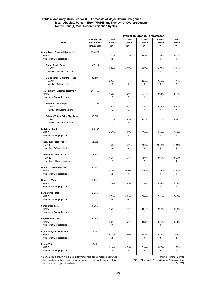#### **Table 3. Accuracy Measures for U.S. Forecasts of Major Return Categories Mean Absolute Percent Error (MAPE) and Number of Overprojections for the Four (4) Most Recent Projection Cycles**

|                                                                                                                    |                                                      |                          |                           | Projection Error on Forecasts for:                   |                           |                           |
|--------------------------------------------------------------------------------------------------------------------|------------------------------------------------------|--------------------------|---------------------------|------------------------------------------------------|---------------------------|---------------------------|
| Item                                                                                                               | <b>Calendar Year</b><br>2006 Actual *<br>(thousands) | 1 Year<br>Ahead<br>$N=4$ | 2 Years<br>Ahead<br>$N=4$ | 3 Years<br>Ahead<br>$N=4$                            | 4 Years<br>Ahead<br>$N=4$ | 5 Years<br>Ahead<br>$N=4$ |
| Grand Total - Selected Returns *                                                                                   | 229,525                                              |                          |                           |                                                      |                           |                           |
| <b>MAPE</b>                                                                                                        |                                                      | 3.43%                    | 3.13%                     | 5.65%                                                | 7.76%                     | 8.41%                     |
| Number of Overprojections                                                                                          |                                                      | $\overline{2}$           | 4                         | 4                                                    | 4                         | 4                         |
| <b>Grand Total - Paper</b>                                                                                         | 147,114                                              |                          |                           |                                                      |                           |                           |
| <b>MAPE</b>                                                                                                        |                                                      | 5.24%                    | 4.97%                     | 8.67%                                                | 14.09%                    | 19.11%                    |
| Number of Overprojections                                                                                          |                                                      | $\overline{2}$           | 4                         | 4                                                    | 4                         | 4                         |
| Grand Total - E-file/ Mag Tape                                                                                     | 82,411                                               |                          |                           |                                                      |                           |                           |
| <b>MAPE</b><br>Number of Overprojections                                                                           |                                                      | 2.33%<br>$\overline{2}$  | 2.11%<br>1                | 5.63%<br>2                                           | 7.83%<br>2                | 14.61%<br>0               |
|                                                                                                                    |                                                      |                          |                           |                                                      |                           |                           |
| Total Primary - Selected Returns *<br><b>MAPE</b>                                                                  | 211,766                                              | 1.62%                    | 3.20%                     | 5.74%                                                | 8.02%                     | 8.61%                     |
| Number of Overprojections                                                                                          |                                                      | $\overline{2}$           | 3                         | $\overline{\mathbf{4}}$                              | 4                         | 4                         |
| <b>Primary Total - Paper</b>                                                                                       | 131,155                                              |                          |                           |                                                      |                           |                           |
| <b>MAPE</b>                                                                                                        |                                                      | 2.42%                    | 5.64%                     | 8.76%                                                | 15.04%                    | 20.37%                    |
| Number of Overprojections                                                                                          |                                                      | $\overline{2}$           | 3                         | 4                                                    | $\overline{4}$            | 4                         |
| Primary Total - E-file/ Mag Tape                                                                                   | 80,612                                               |                          |                           |                                                      |                           |                           |
| <b>MAPE</b>                                                                                                        |                                                      | 2.03%                    | 1.93%                     | 5.57%                                                | 7.51%                     | 14.28%                    |
| Number of Overprojections                                                                                          |                                                      | 2                        | $\mathbf{1}$              | 2                                                    | 2                         | 0                         |
| <b>Individual Total</b>                                                                                            | 135.197                                              |                          |                           |                                                      |                           |                           |
| <b>MAPE</b>                                                                                                        |                                                      | 0.47%<br>$\overline{2}$  | 1.67%<br>3                | 2.70%<br>4                                           | 3.20%<br>4                | 2.83%<br>4                |
| Number of Overprojections                                                                                          |                                                      |                          |                           |                                                      |                           |                           |
| Individual Total - Paper                                                                                           | 61,958                                               |                          |                           |                                                      |                           |                           |
| <b>MAPE</b><br>Number of Overprojections                                                                           |                                                      | 1.79%<br>3               | 5.72%<br>3                | 7.90%<br>3                                           | 13.96%<br>4               | 21.15%<br>4               |
|                                                                                                                    |                                                      |                          |                           |                                                      |                           |                           |
| Individual Total - E-file<br><b>MAPE</b>                                                                           | 73,240                                               | 1.78%                    | 2.78%                     | 5.59%                                                | 8.66%                     | 16.97%                    |
| Number of Overprojections                                                                                          |                                                      | $\overline{2}$           | 1                         | $\overline{2}$                                       | 1                         | $\mathbf 0$               |
| <b>Individual Estimated Tax</b>                                                                                    | 30,182                                               |                          |                           |                                                      |                           |                           |
| <b>MAPE</b>                                                                                                        |                                                      | 8.20%                    | 18.15%                    | 29.77%                                               | 42.98%                    | 47.83%                    |
| Number of Overprojections                                                                                          |                                                      | $\overline{2}$           | 3                         | $\overline{\mathbf{4}}$                              | 4                         | $\overline{\mathbf{4}}$   |
| <b>Fiduciary Total</b>                                                                                             | 3,751                                                |                          |                           |                                                      |                           |                           |
| <b>MAPE</b>                                                                                                        |                                                      | 2.70%                    | 3.85%                     | 4.76%                                                | 5.30%                     | 5.73%                     |
| Number of Overprojections                                                                                          |                                                      | 4                        | 4                         | 4                                                    | 4                         | 3                         |
| <b>Partnership Total</b>                                                                                           | 2,935                                                |                          |                           |                                                      |                           |                           |
| <b>MAPE</b><br>Number of Overprojections                                                                           |                                                      | 2.53%<br>0               | 4.09%<br>0                | 7.04%<br>1                                           | 7.51%<br>1                | 7.47%<br>1                |
|                                                                                                                    |                                                      |                          |                           |                                                      |                           |                           |
| <b>Corporation Total</b><br><b>MAPE</b>                                                                            | 6,356                                                | 1.28%                    | 1.48%                     | 2.57%                                                | 3.98%                     | 4.08%                     |
| Number of Overprojections                                                                                          |                                                      | $\overline{2}$           | 2                         | 2                                                    | 1                         | 2                         |
|                                                                                                                    |                                                      |                          |                           |                                                      |                           |                           |
| <b>Employment Total</b><br><b>MAPE</b>                                                                             | 30,804                                               | 3.58%                    | 2.28%                     | 2.52%                                                | 2.86%                     | 2.42%                     |
| Number of Overprojections                                                                                          |                                                      | 0                        | 1                         | $\mathbf{1}$                                         | 0                         | 1                         |
| <b>Exempt Organization Total</b>                                                                                   | 835                                                  |                          |                           |                                                      |                           |                           |
| <b>MAPE</b>                                                                                                        |                                                      | 4.07%                    | 2.86%                     | 3.03%                                                | 6.78%                     | 7.08%                     |
| Number of Overprojections                                                                                          |                                                      | 2                        | 1                         | 3                                                    | 3                         | $\overline{c}$            |
| <b>Excise Total</b>                                                                                                | 896                                                  |                          |                           |                                                      |                           |                           |
| <b>MAPE</b>                                                                                                        |                                                      | 3.18%                    | 4.55%                     | 7.18%                                                | 8.07%                     | 11.99%                    |
| Number of Overprojections                                                                                          |                                                      | 3                        | 3                         | 3                                                    | 3                         | 4                         |
| Some actuals shown in this table differ from official counts reported elsewhere                                    |                                                      |                          |                           |                                                      |                           | Internal Revenue Service  |
| because they exclude certain return series only recently projected and whose<br>accuracy can not yet be evaluated. |                                                      |                          |                           | Office of Research, Forecasting and Service Analysis |                           | <b>Fall 2007</b>          |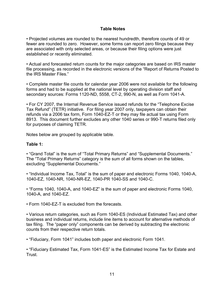#### **Table Notes**

• Projected volumes are rounded to the nearest hundredth, therefore counts of 49 or fewer are rounded to zero. However, some forms can report zero filings because they are associated with only selected areas, or because their filing options were just established or recently eliminated.

• Actual and forecasted return counts for the major categories are based on IRS master file processing, as recorded in the electronic versions of the "Report of Returns Posted to the IRS Master Files."

• Complete master file counts for calendar year 2006 were not available for the following forms and had to be supplied at the national level by operating division staff and secondary sources: Forms 1120-ND, 5558, CT-2, 990-N, as well as Form 1041-A.

• For CY 2007, the Internal Revenue Service issued refunds for the "Telephone Excise Tax Refund" (TETR) initiative. For filing year 2007 only, taxpayers can obtain their refunds via a 2006 tax form, Form 1040-EZ-T or they may file actual tax using Form 8913. This document further excludes any other 1040 series or 990-T returns filed only for purposes of claiming TETR.

Notes below are grouped by applicable table.

#### **Table 1:**

• "Grand Total" is the sum of "Total Primary Returns" and "Supplemental Documents." The "Total Primary Returns" category is the sum of all forms shown on the tables, excluding "Supplemental Documents."

• "Individual Income Tax, Total" is the sum of paper and electronic Forms 1040, 1040-A, 1040-EZ, 1040-NR, 1040-NR-EZ, 1040-PR 1040-SS and 1040-C.

• "Forms 1040, 1040-A, and 1040-EZ" is the sum of paper and electronic Forms 1040, 1040-A, and 1040-EZ.

• Form 1040-EZ-T is excluded from the forecasts.

• Various return categories, such as Form 1040-ES (Individual Estimated Tax) and other business and individual returns, include line items to account for alternative methods of tax filing. The "paper only" components can be derived by subtracting the electronic counts from their respective return totals.

• "Fiduciary, Form 1041" includes both paper and electronic Form 1041.

• "Fiduciary Estimated Tax, Form 1041-ES" is the Estimated Income Tax for Estate and Trust.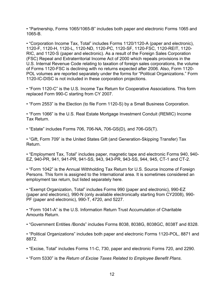• "Partnership, Forms 1065/1065-B" includes both paper and electronic Forms 1065 and 1065-B.

• "Corporation Income Tax, Total" includes Forms 1120/1120-A (paper and electronic), 1120-F, 1120-H, 1120-L, 1120-ND, 1120-PC, 1120-SF, 1120-FSC, 1120-REIT, 1120- RIC, and 1120-S (paper and electronic). As a result of the Foreign Sales Corporation (FSC) Repeal and Extraterritorial Income Act of 2000 which repeals provisions in the U.S. Internal Revenue Code relating to taxation of foreign sales corporations, the volume of Forms 1120-FSC is declining with no returns expected after 2006. Also, Form 1120- POL volumes are reported separately under the forms for "Political Organizations." Form 1120-IC-DISC is not included in these corporation projections.

• "Form 1120-C" is the U.S. Income Tax Return for Cooperative Associations. This form replaced Form 990-C starting from CY 2007.

• "Form 2553" is the Election (to file Form 1120-S) by a Small Business Corporation.

• "Form 1066" is the U.S. Real Estate Mortgage Investment Conduit (REMIC) Income Tax Return.

• "Estate" includes Forms 706, 706-NA, 706-GS(D), and 706-GS(T).

• "Gift, Form 709" is the United States Gift (and Generation-Skipping Transfer) Tax Return.

• "Employment Tax, Total" includes paper, magnetic tape and electronic Forms 940, 940- EZ, 940-PR, 941, 941-PR, 941-SS, 943, 943-PR, 943-SS, 944, 945, CT-1 and CT-2.

• "Form 1042" is the Annual Withholding Tax Return for U.S. Source Income of Foreign Persons. This form is assigned to the International area. It is sometimes considered an employment tax return, but listed separately here.

• "Exempt Organization, Total" includes Forms 990 (paper and electronic), 990-EZ (paper and electronic), 990-N (only available electronically starting from CY2008), 990- PF (paper and electronic), 990-T, 4720, and 5227.

• "Form 1041-A" is the U.S. Information Return Trust Accumulation of Charitable Amounts Return.

• "Government Entities /Bonds" includes Forms 8038, 8038G, 8038GC, 8038T and 8328.

• "Political Organizations" includes both paper and electronic Forms 1120-POL, 8871 and 8872.

• "Excise, Total" includes Forms 11-C, 730, paper and electronic Forms 720, and 2290.

• "Form 5330" is the *Return of Excise Taxes Related to Employee Benefit Plans*.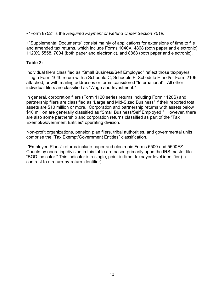• "Form 8752" is the *Required Payment or Refund Under Section 7519*.

• "Supplemental Documents" consist mainly of applications for extensions of time to file and amended tax returns, which include Forms 1040X, 4868 (both paper and electronic), 1120X, 5558, 7004 (both paper and electronic), and 8868 (both paper and electronic).

#### **Table 2:**

Individual filers classified as "Small Business/Self Employed" reflect those taxpayers filing a Form 1040 return with a Schedule C, Schedule F, Schedule E and/or Form 2106 attached, or with mailing addresses or forms considered "International". All other individual filers are classified as "Wage and Investment."

In general, corporation filers (Form 1120 series returns including Form 1120S) and partnership filers are classified as "Large and Mid-Sized Business" if their reported total assets are \$10 million or more. Corporation and partnership returns with assets below \$10 million are generally classified as "Small Business/Self Employed." However, there are also some partnership and corporation returns classified as part of the "Tax Exempt/Government Entities" operating division.

Non-profit organizations, pension plan filers, tribal authorities, and governmental units comprise the "Tax Exempt/Government Entities" classification.

 "Employee Plans" returns include paper and electronic Forms 5500 and 5500EZ Counts by operating division in this table are based primarily upon the IRS master file "BOD indicator." This indicator is a single, point-in-time, taxpayer level identifier (in contrast to a return-by-return identifier).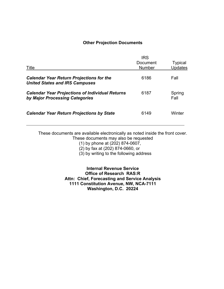#### **Other Projection Documents**

| Title                                                                                    | <b>IRS</b><br>Document<br><b>Number</b> | <b>Typical</b><br><b>Updates</b> |
|------------------------------------------------------------------------------------------|-----------------------------------------|----------------------------------|
| <b>Calendar Year Return Projections for the</b><br><b>United States and IRS Campuses</b> | 6186                                    | Fall                             |
| <b>Calendar Year Projections of Individual Returns</b><br>by Major Processing Categories | 6187                                    | Spring<br>Fall                   |
| <b>Calendar Year Return Projections by State</b>                                         | 6149                                    | Winter                           |

These documents are available electronically as noted inside the front cover. These documents may also be requested

(1) by phone at (202) 874-0607,

(2) by fax at (202) 874-0660, or

(3) by writing to the following address

**Internal Revenue Service Office of Research RAS:R Attn: Chief, Forecasting and Service Analysis 1111 Constitution Avenue, NW, NCA-7111 Washington, D.C. 20224**